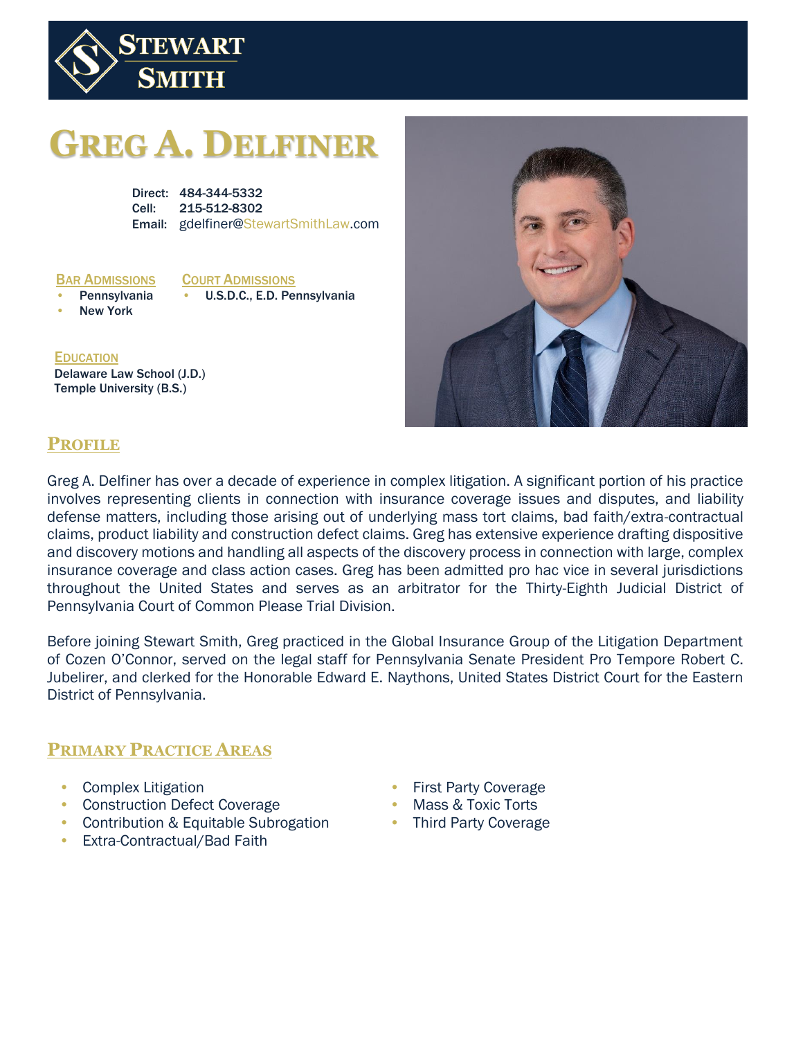

# **GREG A. DELFINER**

Direct: 484-344-5332 Cell: 215-512-8302 Email: gdelfiner@StewartSmithLaw.com

#### BAR ADMISSIONS

#### COURT ADMISSIONS

**Pennsylvania New York** 

• U.S.D.C., E.D. Pennsylvania

**EDUCATION** Delaware Law School (J.D.) Temple University (B.S.)



# **PROFILE**

Greg A. Delfiner has over a decade of experience in complex litigation. A significant portion of his practice involves representing clients in connection with insurance coverage issues and disputes, and liability defense matters, including those arising out of underlying mass tort claims, bad faith/extra-contractual claims, product liability and construction defect claims. Greg has extensive experience drafting dispositive and discovery motions and handling all aspects of the discovery process in connection with large, complex insurance coverage and class action cases. Greg has been admitted pro hac vice in several jurisdictions throughout the United States and serves as an arbitrator for the Thirty-Eighth Judicial District of Pennsylvania Court of Common Please Trial Division.

Before joining Stewart Smith, Greg practiced in the Global Insurance Group of the Litigation Department of Cozen O'Connor, served on the legal staff for Pennsylvania Senate President Pro Tempore Robert C. Jubelirer, and clerked for the Honorable Edward E. Naythons, United States District Court for the Eastern District of Pennsylvania.

#### **PRIMARY PRACTICE AREAS**

- Complex Litigation
- Construction Defect Coverage
- Contribution & Equitable Subrogation
- Extra-Contractual/Bad Faith
- First Party Coverage
- Mass & Toxic Torts
- Third Party Coverage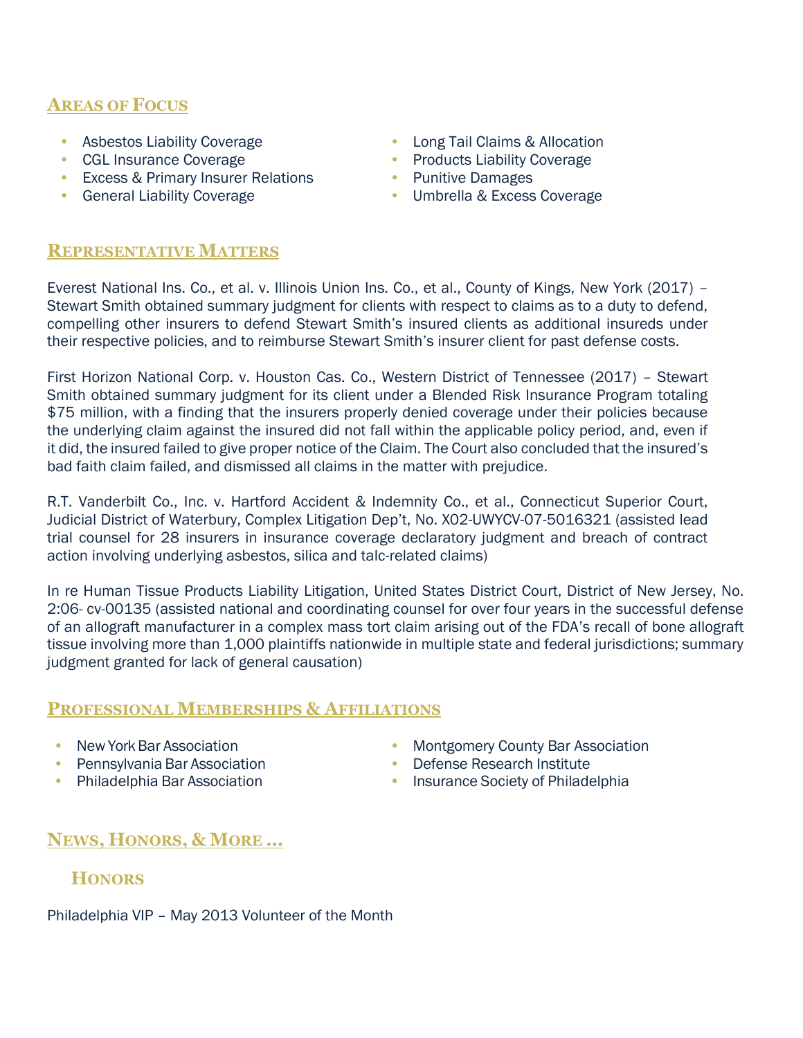# **AREAS OF FOCUS**

- Asbestos Liability Coverage
- CGL Insurance Coverage
- Excess & Primary Insurer Relations
- General Liability Coverage
- Long Tail Claims & Allocation
- Products Liability Coverage
- Punitive Damages
	- Umbrella & Excess Coverage

## **REPRESENTATIVE MATTERS**

Everest National Ins. Co., et al. v. Illinois Union Ins. Co., et al., County of Kings, New York (2017) – Stewart Smith obtained summary judgment for clients with respect to claims as to a duty to defend, compelling other insurers to defend Stewart Smith's insured clients as additional insureds under their respective policies, and to reimburse Stewart Smith's insurer client for past defense costs.

First Horizon National Corp. v. Houston Cas. Co., Western District of Tennessee (2017) – Stewart Smith obtained summary judgment for its client under a Blended Risk Insurance Program totaling \$75 million, with a finding that the insurers properly denied coverage under their policies because the underlying claim against the insured did not fall within the applicable policy period, and, even if it did, the insured failed to give proper notice of the Claim. The Court also concluded that the insured's bad faith claim failed, and dismissed all claims in the matter with prejudice.

R.T. Vanderbilt Co., Inc. v. Hartford Accident & Indemnity Co., et al., Connecticut Superior Court, Judicial District of Waterbury, Complex Litigation Dep't, No. X02-UWYCV-07-5016321 (assisted lead trial counsel for 28 insurers in insurance coverage declaratory judgment and breach of contract action involving underlying asbestos, silica and talc-related claims)

In re Human Tissue Products Liability Litigation, United States District Court, District of New Jersey, No. 2:06- cv-00135 (assisted national and coordinating counsel for over four years in the successful defense of an allograft manufacturer in a complex mass tort claim arising out of the FDA's recall of bone allograft tissue involving more than 1,000 plaintiffs nationwide in multiple state and federal jurisdictions; summary judgment granted for lack of general causation)

#### **PROFESSIONAL MEMBERSHIPS & AFFILIATIONS**

- New York Bar Association
- Pennsylvania Bar Association
- Philadelphia Bar Association
- Montgomery County Bar Association
- Defense Research Institute
- Insurance Society of Philadelphia

# **NEWS, HONORS, & MORE …**

# **HONORS**

Philadelphia VIP – May 2013 Volunteer of the Month